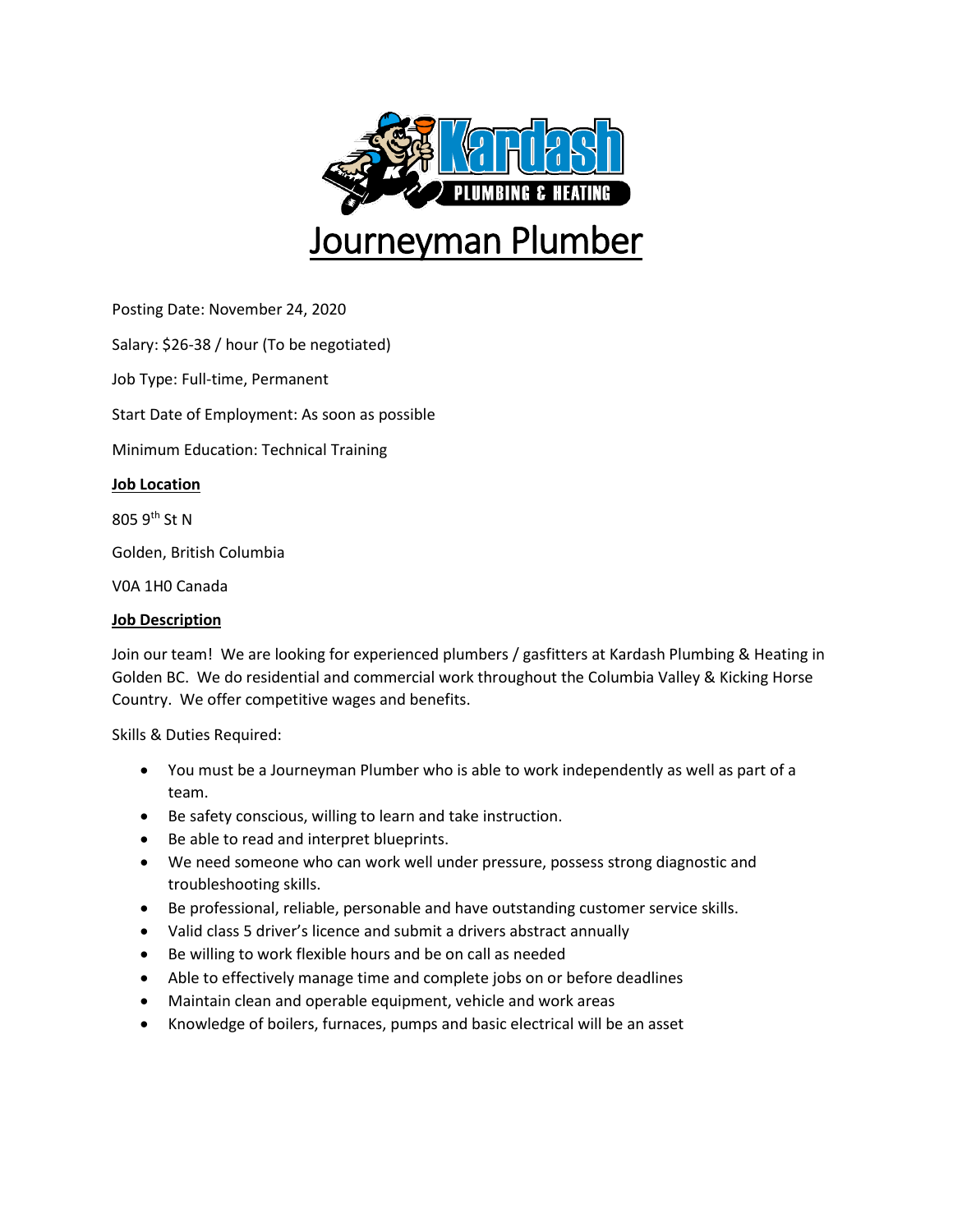

Posting Date: November 24, 2020

Salary: \$26-38 / hour (To be negotiated)

Job Type: Full-time, Permanent

Start Date of Employment: As soon as possible

Minimum Education: Technical Training

## **Job Location**

805 9th St N

Golden, British Columbia

V0A 1H0 Canada

## **Job Description**

Join our team! We are looking for experienced plumbers / gasfitters at Kardash Plumbing & Heating in Golden BC. We do residential and commercial work throughout the Columbia Valley & Kicking Horse Country. We offer competitive wages and benefits.

Skills & Duties Required:

- You must be a Journeyman Plumber who is able to work independently as well as part of a team.
- Be safety conscious, willing to learn and take instruction.
- Be able to read and interpret blueprints.
- We need someone who can work well under pressure, possess strong diagnostic and troubleshooting skills.
- Be professional, reliable, personable and have outstanding customer service skills.
- Valid class 5 driver's licence and submit a drivers abstract annually
- Be willing to work flexible hours and be on call as needed
- Able to effectively manage time and complete jobs on or before deadlines
- Maintain clean and operable equipment, vehicle and work areas
- Knowledge of boilers, furnaces, pumps and basic electrical will be an asset